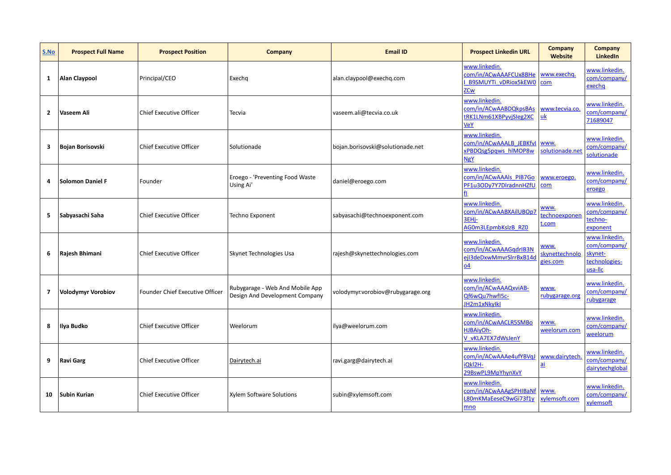| S.No                    | <b>Prospect Full Name</b> | <b>Prospect Position</b>        | Company                                                           | <b>Email ID</b>                   | <b>Prospect Linkedin URL</b>                                                   | <b>Company</b><br>Website          | Company<br>LinkedIn                                                  |
|-------------------------|---------------------------|---------------------------------|-------------------------------------------------------------------|-----------------------------------|--------------------------------------------------------------------------------|------------------------------------|----------------------------------------------------------------------|
| 1                       | Alan Claypool             | Principal/CEO                   | Exechq                                                            | alan.claypool@exechq.com          | www.linkedin.<br>com/in/ACwAAAFCUx8BHe<br>B9SMUYTi vDRiox5kEW0<br>ZCw          | www.exechg.<br>com                 | www.linkedin.<br>com/company/<br>exechq                              |
| $\mathbf{2}$            | Vaseem Ali                | <b>Chief Executive Officer</b>  | Tecvia                                                            | vaseem.ali@tecvia.co.uk           | www.linkedin.<br>com/in/ACwAABDQkpsBAs<br>tRK1LNm61XBPyvjSleg2XC<br>VeY        | www.tecvia.co.<br><u>uk</u>        | www.linkedin.<br>com/company/<br>71689047                            |
| 3                       | Bojan Borisovski          | <b>Chief Executive Officer</b>  | Solutionade                                                       | bojan.borisovski@solutionade.net  | www.linkedin.<br>com/in/ACwAAALB JEBKfvl<br>xPBDQsg5pqws hIMOP8w<br><b>NgY</b> | www.<br>solutionade.net            | www.linkedin.<br>com/company/<br>solutionade                         |
| 4                       | <b>Solomon Daniel F</b>   | Founder                         | Eroego - 'Preventing Food Waste<br>Using Ai'                      | daniel@eroego.com                 | www.linkedin.<br>com/in/ACwAAAIs_PIB7Go<br>PF1u3ODy7Y7DIradnnHZfU<br>fl        | www.eroego.<br>com                 | www.linkedin.<br>com/company/<br>eroego                              |
| 5                       | Sabyasachi Saha           | <b>Chief Executive Officer</b>  | Techno Exponent                                                   | sabyasachi@technoexponent.com     | www.linkedin.<br>com/in/ACwAABXAilUBOp7<br>3EHi-<br>AG0m3LEpmbKslzB RZ0        | WWW.<br>echnoexponer<br>t.com      | www.linkedin.<br>com/company/<br>techno-<br>exponent                 |
| 6                       | Rajesh Bhimani            | <b>Chief Executive Officer</b>  | Skynet Technologies Usa                                           | rajesh@skynettechnologies.com     | www.linkedin.<br>com/in/ACwAAAGqdrIB3N<br>ejl3deDxwMmvrSlrrBxB14d<br><u>04</u> | NWW.<br>skynettechnolo<br>gies.com | www.linkedin.<br>com/company/<br>skynet-<br>technologies-<br>usa-Ilc |
| $\overline{\mathbf{z}}$ | <b>Volodymyr Vorobiov</b> | Founder Chief Executive Officer | Rubygarage - Web And Mobile App<br>Design And Development Company | volodymyr.vorobiov@rubygarage.org | www.linkedin.<br>com/in/ACwAAAQxviAB-<br>Qf6wQu7hwfI5c-<br>JH2m1xNkylkl        | www.<br>rubygarage.org             | www.linkedin.<br>com/company/<br>rubygarage                          |
| 8                       | Ilya Budko                | <b>Chief Executive Officer</b>  | Weelorum                                                          | ilya@weelorum.com                 | www.linkedin.<br>com/in/ACwAACLR5SMBo<br>HJBAiyOh-<br>V vKLA7EX7dWsJenY        | www.<br>weelorum.com               | www.linkedin.<br>com/company/<br>weelorum                            |
| 9                       | <b>Ravi Garg</b>          | <b>Chief Executive Officer</b>  | Dairytech.ai                                                      | ravi.garg@dairytech.ai            | www.linkedin.<br>com/in/ACwAAAe4ufYBVqJ<br>Okl2H-<br>29BswPL9MpYhynXvY         | www.dairytech<br><u>ai</u>         | www.linkedin.<br>com/company/<br>dairytechglobal                     |
| 10                      | Subin Kurian              | <b>Chief Executive Officer</b>  | Xylem Software Solutions                                          | subin@xylemsoft.com               | www.linkedin.<br>com/in/ACwAAAgSPHIBaNf<br>L80mKMaEeseC9wGi73f1y<br>mno        | www.<br>kylemsoft.com              | www.linkedin.<br>com/company/<br>xylemsoft                           |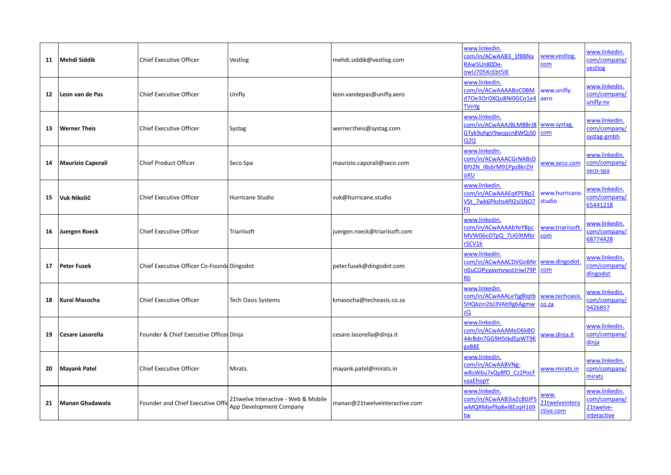| 11                | Mehdi Siddik             | <b>Chief Executive Officer</b>            | Vestlog                                                        | mehdi.siddik@vestlog.com      | www.linkedin.<br>com/in/ACwAAB3 1f8BNa<br>RAw5Un80De-<br>owU705XcEbt5IE             | www.vestlog.<br>com                 | www.linkedin.<br>com/company/<br>vestlog                  |
|-------------------|--------------------------|-------------------------------------------|----------------------------------------------------------------|-------------------------------|-------------------------------------------------------------------------------------|-------------------------------------|-----------------------------------------------------------|
| $12 \overline{ }$ | Leon van de Pas          | <b>Chief Executive Officer</b>            | Unifly                                                         | leon.vandepas@unifly.aero     | www.linkedin.<br>com/in/ACwAAAABoC0BM<br>d7Oe3OrOXQu8Ni0GCo1e4<br><b>TVnYg</b>      | www.unifly.<br>aero                 | www.linkedin.<br>com/company/<br>unifly-nv                |
| 13                | <b>Werner Theis</b>      | <b>Chief Executive Officer</b>            | Systag                                                         | werner.theis@systag.com       | www.linkedin.<br>com/in/ACwAAAJBLM8BrJ8<br>GTyk9uhgV9wopcn8WQjS0<br>020             | www.systag.<br>com                  | www.linkedin.<br>com/company/<br>systag-gmbh              |
| 14                | <b>Maurizio Caporali</b> | <b>Chief Product Officer</b>              | Seco Spa                                                       | maurizio.caporali@seco.com    | www.linkedin.<br>com/in/ACwAAACGrNABsD<br>BPJ2N I8s6rM91Ppz8krZH<br>oXU             | www.seco.com                        | www.linkedin.<br>com/company/<br>seco-spa                 |
| 15                | Vuk Nikolić              | Chief Executive Officer                   | Hurricane Studio                                               | vuk@hurricane.studio          | www.linkedin.<br>com/in/ACwAAAEqKPEBp2<br>VSt 7wk6Pkshs4PJ2siSNO7<br>F0             | www.hurricane.<br>studio            | www.linkedin.<br>com/company/<br>65441218                 |
| 16                | Juergen Roeck            | <b>Chief Executive Officer</b>            | Triariisoft                                                    | juergen.roeck@triariisoft.com | www.linkedin.<br>com/in/ACwAAAAbYeYBpc<br>MVW06oDTpQ 7UG9tMbr<br>rSCV1k             | www.triariisoft<br>com              | www.linkedin.<br>com/company/<br>68774428                 |
| 17                | Peter Fusek              | Chief Executive Officer Co-Found Dingodot |                                                                | peter.fusek@dingodot.com      | www.linkedin.<br>com/in/ACwAAACDVGoBNr<br>n0uCOPyyaxmvwstJriwl79P<br>R <sub>0</sub> | www.dingodot<br>com                 | www.linkedin.<br>com/company/<br>dingodot                 |
| 18                | Kurai Masocha            | <b>Chief Executive Officer</b>            | <b>Tech Oasis Systems</b>                                      | kmasocha@techoasis.co.za      | www.linkedin.<br>com/in/ACwAAALeYjgBlqtb<br>5HQkzin2bJ3VAb9g6Agmw<br>zQ             | www.techoasis<br>co.za              | www.linkedin.<br>com/company/<br>9426857                  |
| 19                | Cesare Lasorella         | Founder & Chief Executive Officer Dinja   |                                                                | cesare.lasorella@dinja.it     | www.linkedin.<br>com/in/ACwAAAMeD6kBO<br>44rBdn7GG9H5tkd5pWT9K<br>gxB8E             | www.dinja.it                        | www.linkedin.<br>com/company/<br>dinja                    |
| 20                | <b>Mayank Patel</b>      | <b>Chief Executive Officer</b>            | Mirats.                                                        | mayank.patel@mirats.in        | www.linkedin.<br>com/in/ACwAABVNg-<br>wBsW6u7xQyBfO Cz2PocF<br>xaaEhopY             | www.mirats.in                       | www.linkedin.<br>com/company/<br>mirats                   |
| 21                | l Manan Ghadawala        | Founder and Chief Executive Offi          | 21twelve Interactive - Web & Mobile<br>App Development Company | manan@21twelveinteractive.com | www.linkedin.<br>com/in/ACwAAB3ixZcB0JP5<br>wMQRMjef9p8eI8EzqH169<br><u>tw</u>      | WWW.<br>21twelveintera<br>ctive.com | www.linkedin.<br>com/company/<br>21twelve-<br>interactive |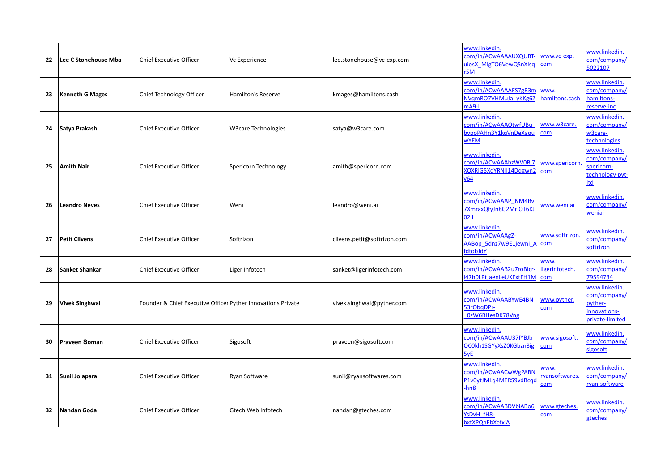| 22 | Lee C Stonehouse Mba   | <b>Chief Executive Officer</b>                               | Vc Experience              | lee.stonehouse@vc-exp.com   | www.linkedin.<br>com/in/ACwAAAAUXQUBT-<br>uiosX MlgTO6VewQSnXlsq<br>r5M       | www.vc-exp.<br><b>com</b>     | www.linkedin.<br>com/company/<br>5022107                                    |
|----|------------------------|--------------------------------------------------------------|----------------------------|-----------------------------|-------------------------------------------------------------------------------|-------------------------------|-----------------------------------------------------------------------------|
| 23 | <b>Kenneth G Mages</b> | Chief Technology Officer                                     | <b>Hamilton's Reserve</b>  | kmages@hamiltons.cash       | www.linkedin.<br>com/in/ACwAAAAES7gB3m<br>NVgmRO7VHMuJa yKKg6Z<br>$mA9-I$     | www.<br>hamiltons.cash        | www.linkedin.<br>com/company/<br>hamiltons-<br>reserve-inc                  |
| 24 | Satya Prakash          | <b>Chief Executive Officer</b>                               | <b>W3care Technologies</b> | satya@w3care.com            | www.linkedin.<br>com/in/ACwAAAOtwfUBu<br>bvpoPAHn3Y1kgVnDeXagu<br><b>wYEM</b> | www.w3care.<br>com            | www.linkedin.<br>com/company/<br>w3care-<br>technologies                    |
| 25 | Amith Nair             | <b>Chief Executive Officer</b>                               | Spericorn Technology       | amith@spericorn.com         | www.linkedin.<br>com/in/ACwAAAbzWV0Bl7<br>XOXRiG5XqYRNII14Dqgwn2<br>v64       | www.spericorn.<br>com         | www.linkedin.<br>com/company/<br>spericorn-<br>technology-pvt-<br>Itd       |
| 26 | <b>Leandro Neves</b>   | <b>Chief Executive Officer</b>                               | Weni                       | leandro@weni.ai             | www.linkedin.<br>com/in/ACwAAAP NM4Bv<br>7XmraxQfyJn8G2MrlOT6KJ<br>02il       | www.weni.ai                   | www.linkedin.<br>com/company/<br>weniai                                     |
| 27 | <b>Petit Clivens</b>   | <b>Chief Executive Officer</b>                               | Softrizon                  | clivens.petit@softrizon.com | www.linkedin.<br>com/in/ACwAAAgZ-<br>AABop 5dnz7w9E1jewni A<br>fdtobJdY       | www.softrizon.<br>com         | www.linkedin.<br>com/company/<br>softrizon                                  |
| 28 | <b>Sanket Shankar</b>  | <b>Chief Executive Officer</b>                               | Liger Infotech             | sanket@ligerinfotech.com    | www.linkedin.<br>com/in/ACwAAB2u7roBlcr-<br>47h0LPtJaenLeUKFxtFH1M            | www.<br>igerinfotech.<br>com  | www.linkedin.<br>com/company/<br>79594734                                   |
| 29 | <b>Vivek Singhwal</b>  | Founder & Chief Executive Officer Pyther Innovations Private |                            | vivek.singhwal@pyther.com   | www.linkedin.<br>com/in/ACwAAABYwE4BN<br>53rObqDPr-<br>0zW6BHesDK78Vng        | www.pyther.<br>com            | www.linkedin.<br>com/company/<br>pyther-<br>innovations-<br>private-limited |
| 30 | <b>Praveen Soman</b>   | Chief Executive Officer                                      | Sigosoft                   | praveen@sigosoft.com        | www.linkedin.<br>com/in/ACwAAAU37IYBJb<br>OC0kh1SGYyXsZ0KGbzn8ig<br>5yE       | www.sigosoft.<br>com          | www.linkedin.<br>com/company/<br>sigosoft                                   |
|    | 31   Sunil Jolapara    | <b>Chief Executive Officer</b>                               | Ryan Software              | sunil@ryansoftwares.com     | www.linkedin.<br>com/in/ACwAACwWgPABN<br>P1v0ytJMLq4MERS9vdBcqd<br>-hn8       | www.<br>ryansoftwares.<br>com | www.linkedin.<br>com/company/<br>ryan-software                              |
| 32 | Nandan Goda            | <b>Chief Executive Officer</b>                               | Gtech Web Infotech         | nandan@gteches.com          | www.linkedin.<br>com/in/ACwAABDVbiABo6<br>YsDvH fH8-<br>bxtXPQnEbXefxiA       | www.gteches<br>com            | www.linkedin.<br>com/company/<br>gteches                                    |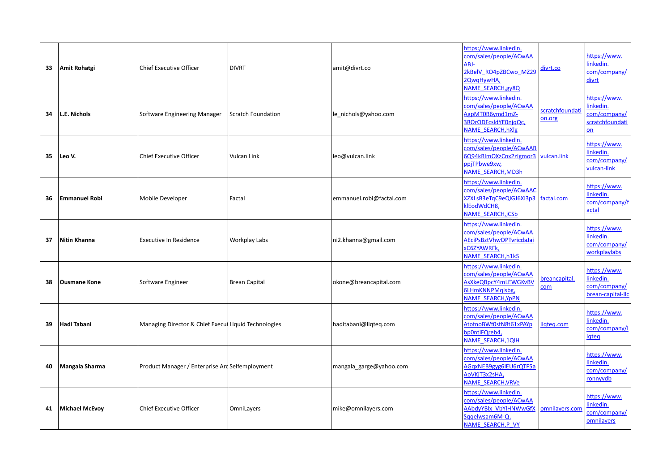| 33 | Amit Rohatgi          | <b>Chief Executive Officer</b>                       | <b>DIVRT</b>         | amit@divrt.co            | https://www.linkedin.<br>com/sales/people/ACwAA<br>ABJ-<br>2kBelV RO4pZBCwo MZ29<br>2QwqHywHA,<br>NAME_SEARCH,gy8Q     | divrt.co                  | https://www.<br>linkedin.<br>com/company/<br>divrt                 |
|----|-----------------------|------------------------------------------------------|----------------------|--------------------------|------------------------------------------------------------------------------------------------------------------------|---------------------------|--------------------------------------------------------------------|
| 34 | L.E. Nichols          | Software Engineering Manager                         | Scratch Foundation   | le_nichols@yahoo.com     | https://www.linkedin.<br>com/sales/people/ACwAA<br>AgpMT0B6ymd1mZ-<br>3ROrODFcsldYE0njqQc,<br><b>NAME SEARCH, hXlg</b> | scratchfoundati<br>on.org | https://www.<br>linkedin.<br>com/company/<br>scratchfoundati<br>on |
| 35 | Leo V.                | <b>Chief Executive Officer</b>                       | Vulcan Link          | leo@vulcan.link          | https://www.linkedin.<br>com/sales/people/ACwAAB<br>6Q94kBImOXzCnx2zIgmor3<br>ppjTPbwe9xw,<br><b>NAME SEARCH, MD3h</b> | vulcan.link               | https://www.<br>linkedin.<br>com/company/<br>vulcan-link           |
| 36 | <b>Emmanuel Robi</b>  | Mobile Developer                                     | Factal               | emmanuel.robi@factal.com | https://www.linkedin.<br>com/sales/people/ACwAAC<br>XZXLsB3eTqC9eQIGJ6Xl3p3<br>klEodWdCH8,<br><b>NAME_SEARCH,jCSb</b>  | factal.com                | https://www.<br>linkedin.<br>com/company/f<br>actal                |
| 37 | Nitin Khanna          | <b>Executive In Residence</b>                        | Workplay Labs        | ni2.khanna@gmail.com     | https://www.linkedin.<br>com/sales/people/ACwAA<br>AEciPsBztVhwOPTvricdaJai<br>xC6ZYAWRFk,<br>NAME_SEARCH, h1kS        |                           | https://www.<br>linkedin.<br>com/company/<br>workplaylabs          |
| 38 | <b>Ousmane Kone</b>   | Software Engineer                                    | <b>Brean Capital</b> | okone@breancapital.com   | https://www.linkedin.<br>com/sales/people/ACwAA<br>AsXkeQBpcY4mLEWGKvBV<br>6LHmKNNPMgisbg,<br><b>NAME_SEARCH,YpPN</b>  | breancapital.<br>com      | https://www.<br>linkedin.<br>com/company/<br>brean-capital-llc     |
| 39 | Hadi Tabani           | Managing Director & Chief Execut Liquid Technologies |                      | haditabani@liqteq.com    | https://www.linkedin.<br>com/sales/people/ACwAA<br>AtofnoBWf0sfN8t61xPAYp<br>bp0ntiFQreb4,<br>NAME SEARCH, 1QIH        | ligteg.com                | https://www.<br>linkedin.<br>com/company/l<br>igteg                |
| 40 | Mangala Sharma        | Product Manager / Enterprise Ard Selfemployment      |                      | mangala_garge@yahoo.com  | https://www.linkedin.<br>com/sales/people/ACwAA<br>AGgxNEB9gyg6lEU6rQTF5a<br>AoVKjT3x2sHA,<br><b>NAME SEARCH, VRVe</b> |                           | https://www.<br>linkedin.<br>com/company/<br>ronnyvdb              |
| 41 | <b>Michael McEvoy</b> | <b>Chief Executive Officer</b>                       | OmniLayers           | mike@omnilayers.com      | https://www.linkedin.<br>com/sales/people/ACwAA<br>AAbdyYBlx VbYlHNWwGfX<br>Sqqelwsam6M-Q,<br><b>NAME SEARCH, P VY</b> | omnilayers.com            | https://www.<br>inkedin.<br>com/company/<br>omnilayers             |